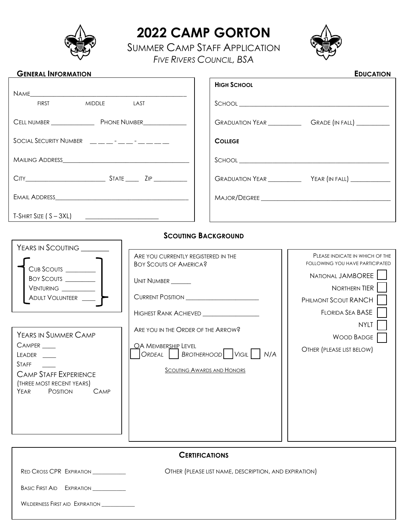

 $\overline{\phantom{0}}$ 

# **2022 CAMP GORTON**

SUMMER CAMP STAFF APPLICATION *FIVE RIVERS COUNCIL, BSA*



## **GENERAL INFORMATION EDUCATION**

|                                                      |  | <b>HIGH SCHOOL</b>                                                                                                                                                                                                                                                                                                                                                 |  |
|------------------------------------------------------|--|--------------------------------------------------------------------------------------------------------------------------------------------------------------------------------------------------------------------------------------------------------------------------------------------------------------------------------------------------------------------|--|
| NAME                                                 |  |                                                                                                                                                                                                                                                                                                                                                                    |  |
| <b>FIRST</b><br>MIDDLE LAST                          |  | $\begin{picture}(150,10) \put(0,0){\vector(1,0){100}} \put(15,0){\vector(1,0){100}} \put(15,0){\vector(1,0){100}} \put(15,0){\vector(1,0){100}} \put(15,0){\vector(1,0){100}} \put(15,0){\vector(1,0){100}} \put(15,0){\vector(1,0){100}} \put(15,0){\vector(1,0){100}} \put(15,0){\vector(1,0){100}} \put(15,0){\vector(1,0){100}} \put(15,0){\vector(1,0){100}}$ |  |
|                                                      |  |                                                                                                                                                                                                                                                                                                                                                                    |  |
| SOCIAL SECURITY NUMBER $\_\_ \_\_ \_\_ \_\_ \_\_ \_$ |  | <b>COLLEGE</b>                                                                                                                                                                                                                                                                                                                                                     |  |
|                                                      |  | $\begin{picture}(180,10) \put(0,0){\vector(1,0){100}} \put(15,0){\vector(1,0){100}} \put(15,0){\vector(1,0){100}} \put(15,0){\vector(1,0){100}} \put(15,0){\vector(1,0){100}} \put(15,0){\vector(1,0){100}} \put(15,0){\vector(1,0){100}} \put(15,0){\vector(1,0){100}} \put(15,0){\vector(1,0){100}} \put(15,0){\vector(1,0){100}} \put(15,0){\vector(1,0){100}}$ |  |
|                                                      |  |                                                                                                                                                                                                                                                                                                                                                                    |  |
|                                                      |  |                                                                                                                                                                                                                                                                                                                                                                    |  |
|                                                      |  |                                                                                                                                                                                                                                                                                                                                                                    |  |

#### **SCOUTING BACKGROUND**

| YEARS IN SCOUTING                                                                                                                                     |                                                                                                                                                                                                                                                                                             |                                                                                                                                                                                                                              |
|-------------------------------------------------------------------------------------------------------------------------------------------------------|---------------------------------------------------------------------------------------------------------------------------------------------------------------------------------------------------------------------------------------------------------------------------------------------|------------------------------------------------------------------------------------------------------------------------------------------------------------------------------------------------------------------------------|
| BOY SCOUTS<br>YEARS IN SUMMER CAMP<br>LEADER<br><b>STAFF</b><br><b>CAMP STAFF EXPERIENCE</b><br>(THREE MOST RECENT YEARS)<br>YEAR<br>POSITION<br>CAMP | ARE YOU CURRENTLY REGISTERED IN THE<br><b>BOY SCOUTS OF AMERICA?</b><br>Unit Number<br>CURRENT POSITION<br>HIGHEST RANK ACHIEVED __________________<br>ARE YOU IN THE ORDER OF THE ARROW?<br>OA MEMBERSHIP LEVEL<br>ORDEAL   BROTHERHOOD   VIGIL   N/A<br><b>SCOUTING AWARDS AND HONORS</b> | PLEASE INDICATE IN WHICH OF THE<br><b>FOLLOWING YOU HAVE PARTICIPATED</b><br>NATIONAL JAMBOREE<br>NORTHERN TIER<br>PHILMONT SCOUT RANCH<br>FLORIDA SEA BASE<br><b>NYLT</b><br><b>WOOD BADGE</b><br>OTHER (PLEASE LIST BELOW) |
| RED CROSS CPR EXPIRATION                                                                                                                              | <b>CERTIFICATIONS</b><br>OTHER (PLEASE LIST NAME, DESCRIPTION, AND EXPIRATION)                                                                                                                                                                                                              |                                                                                                                                                                                                                              |
| BASIC FIRST AID EXPIRATION                                                                                                                            |                                                                                                                                                                                                                                                                                             |                                                                                                                                                                                                                              |

WILDERNESS FIRST AID EXPIRATION \_\_\_\_\_\_\_\_\_\_\_\_\_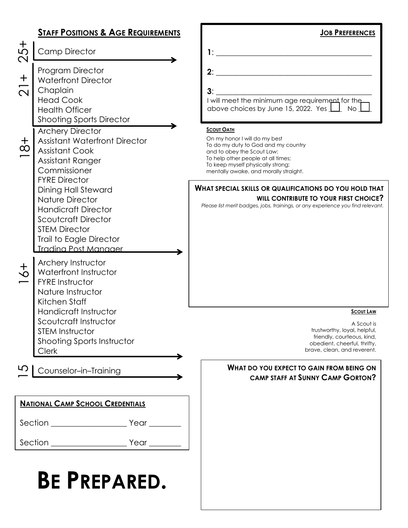|                                        | <b>STAFF POSITIONS &amp; AGE REQUIREMENTS</b>                                                                                                                                                      | <b>JOB PREFERENCES</b>                                                                                                                                                                                                                      |
|----------------------------------------|----------------------------------------------------------------------------------------------------------------------------------------------------------------------------------------------------|---------------------------------------------------------------------------------------------------------------------------------------------------------------------------------------------------------------------------------------------|
| +<br>の<br>$\mathbf{\Omega}$            | <b>Camp Director</b>                                                                                                                                                                               | 1:                                                                                                                                                                                                                                          |
| $\mathbf +$<br>$\overline{\mathsf{C}}$ | Program Director<br><b>Waterfront Director</b><br>Chaplain<br><b>Head Cook</b><br><b>Health Officer</b><br><b>Shooting Sports Director</b>                                                         | 2:<br>3:<br>I will meet the minimum age requirement for the<br>above choices by June 15, 2022. Yes $\boxed{\underline{\qquad}}$ No $\boxed{\phantom{1}}$                                                                                    |
| $\frac{+}{\infty}$                     | <b>Archery Director</b><br><b>Assistant Waterfront Director</b><br><b>Assistant Cook</b><br>Assistant Ranger<br>Commissioner<br><b>FYRE Director</b>                                               | <b>SCOUT OATH</b><br>On my honor I will do my best<br>To do my duty to God and my country<br>and to obey the Scout Law;<br>To help other people at all times;<br>To keep myself physically strong;<br>mentally awake, and morally straight. |
|                                        | <b>Dining Hall Steward</b><br><b>Nature Director</b><br><b>Handicraft Director</b><br><b>Scoutcraft Director</b><br><b>STEM Director</b><br>Trail to Eagle Director<br><b>Tradina Post Manager</b> | WHAT SPECIAL SKILLS OR QUALIFICATIONS DO YOU HOLD THAT<br>WILL CONTRIBUTE TO YOUR FIRST CHOICE?<br>Please list merit badges, jobs, trainings, or any experience you find relevant.                                                          |
| $\frac{+}{\infty}$                     | Archery Instructor<br>Waterfront Instructor<br><b>FYRE Instructor</b><br>Nature Instructor<br>Kitchen Staff                                                                                        |                                                                                                                                                                                                                                             |
|                                        | Handicraft Instructor<br>Scoutcraft Instructor<br><b>STEM Instructor</b><br>Shooting Sports Instructor<br><b>Clerk</b>                                                                             | <b>SCOUT LAW</b><br>A Scout is<br>trustworthy, loyal, helpful,<br>friendly, courteous, kind,<br>obedient, cheerful, thrifty,<br>brave, clean, and reverent.                                                                                 |
|                                        | Counselor-in-Training                                                                                                                                                                              | WHAT DO YOU EXPECT TO GAIN FROM BEING ON<br><b>CAMP STAFF AT SUNNY CAMP GORTON?</b>                                                                                                                                                         |
|                                        | <b>NATIONAL CAMP SCHOOL CREDENTIALS</b>                                                                                                                                                            |                                                                                                                                                                                                                                             |
|                                        |                                                                                                                                                                                                    |                                                                                                                                                                                                                                             |
|                                        |                                                                                                                                                                                                    |                                                                                                                                                                                                                                             |
|                                        | <b>BE PREPARED.</b>                                                                                                                                                                                |                                                                                                                                                                                                                                             |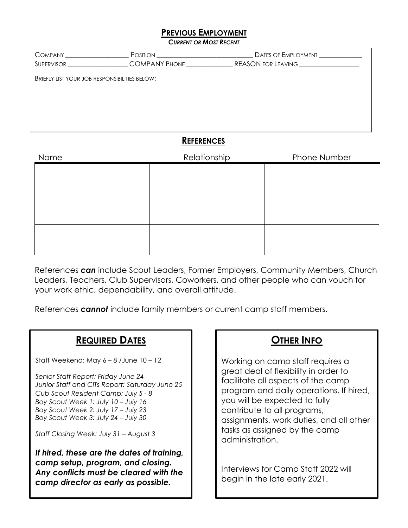#### **PREVIOUS EMPLOYMENT**

*CURRENT OR MOST RECENT*

| COMPANY                                              | <b>POSITION</b><br>SUPERVISOR COMPANY PHONE | Dates of Employment |  |  |
|------------------------------------------------------|---------------------------------------------|---------------------|--|--|
| <b>BRIEFLY LIST YOUR JOB RESPONSIBILITIES BELOW:</b> |                                             |                     |  |  |
|                                                      |                                             |                     |  |  |
|                                                      |                                             |                     |  |  |
|                                                      |                                             |                     |  |  |
|                                                      |                                             |                     |  |  |
| <b>REFERENCES</b>                                    |                                             |                     |  |  |

| Name | Relationship | Phone Number |
|------|--------------|--------------|
|      |              |              |
|      |              |              |
|      |              |              |
|      |              |              |
|      |              |              |
|      |              |              |
|      |              |              |
|      |              |              |

References *can* include Scout Leaders, Former Employers, Community Members, Church Leaders, Teachers, Club Supervisors, Coworkers, and other people who can vouch for your work ethic, dependability, and overall attitude.

References *cannot* include family members or current camp staff members.

### **REQUIRED DATES**

Staff Weekend: May  $6 - 8$  /June  $10 - 12$ 

*Senior Staff Report: Friday June 24 Junior Staff and CITs Report: Saturday June 25 Cub Scout Resident Camp: July 5 - 8 Boy Scout Week 1: July 10 – July 16 Boy Scout Week 2: July 17 – July 23 Boy Scout Week 3: July 24 – July 30* 

*Staff Closing Week: July 31 – August 3* 

*If hired, these are the dates of training, camp setup, program, and closing. Any conflicts must be cleared with the camp director as early as possible.* 

## **OTHER INFO**

Working on camp staff requires a great deal of flexibility in order to facilitate all aspects of the camp program and daily operations. If hired, you will be expected to fully contribute to all programs, assignments, work duties, and all other tasks as assigned by the camp administration.

Interviews for Camp Staff 2022 will begin in the late early 2021.